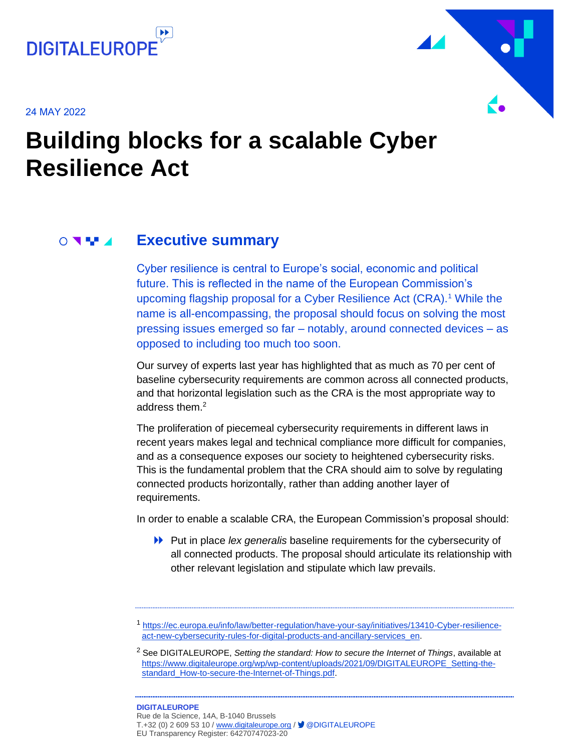

24 MAY 2022



## **Building blocks for a scalable Cyber Resilience Act**

#### **Executive summary**  $\circ$   $\bullet$   $\bullet$

Cyber resilience is central to Europe's social, economic and political future. This is reflected in the name of the European Commission's upcoming flagship proposal for a Cyber Resilience Act (CRA).<sup>1</sup> While the name is all-encompassing, the proposal should focus on solving the most pressing issues emerged so far – notably, around connected devices – as opposed to including too much too soon.

Our survey of experts last year has highlighted that as much as 70 per cent of baseline cybersecurity requirements are common across all connected products, and that horizontal legislation such as the CRA is the most appropriate way to address them.<sup>2</sup>

The proliferation of piecemeal cybersecurity requirements in different laws in recent years makes legal and technical compliance more difficult for companies, and as a consequence exposes our society to heightened cybersecurity risks. This is the fundamental problem that the CRA should aim to solve by regulating connected products horizontally, rather than adding another layer of requirements.

In order to enable a scalable CRA, the European Commission's proposal should:

Put in place *lex generalis* baseline requirements for the cybersecurity of all connected products. The proposal should articulate its relationship with other relevant legislation and stipulate which law prevails.

<sup>1</sup> [https://ec.europa.eu/info/law/better-regulation/have-your-say/initiatives/13410-Cyber-resilience](https://ec.europa.eu/info/law/better-regulation/have-your-say/initiatives/13410-Cyber-resilience-act-new-cybersecurity-rules-for-digital-products-and-ancillary-services_en)[act-new-cybersecurity-rules-for-digital-products-and-ancillary-services\\_en.](https://ec.europa.eu/info/law/better-regulation/have-your-say/initiatives/13410-Cyber-resilience-act-new-cybersecurity-rules-for-digital-products-and-ancillary-services_en)

<sup>2</sup> See DIGITALEUROPE, *Setting the standard: How to secure the Internet of Things*, available at [https://www.digitaleurope.org/wp/wp-content/uploads/2021/09/DIGITALEUROPE\\_Setting-the](https://www.digitaleurope.org/wp/wp-content/uploads/2021/09/DIGITALEUROPE_Setting-the-standard_How-to-secure-the-Internet-of-Things.pdf)[standard\\_How-to-secure-the-Internet-of-Things.pdf.](https://www.digitaleurope.org/wp/wp-content/uploads/2021/09/DIGITALEUROPE_Setting-the-standard_How-to-secure-the-Internet-of-Things.pdf)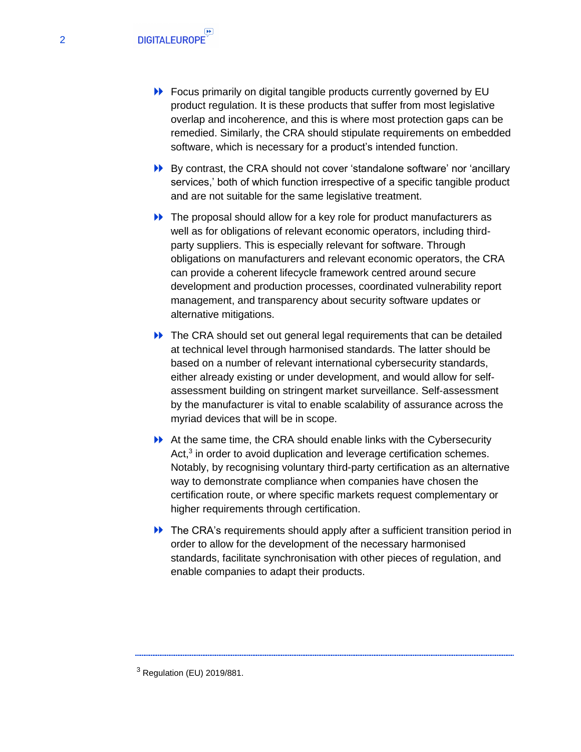- **EXECUTE:** Focus primarily on digital tangible products currently governed by EU product regulation. It is these products that suffer from most legislative overlap and incoherence, and this is where most protection gaps can be remedied. Similarly, the CRA should stipulate requirements on embedded software, which is necessary for a product's intended function.
- By contrast, the CRA should not cover 'standalone software' nor 'ancillary services,' both of which function irrespective of a specific tangible product and are not suitable for the same legislative treatment.
- ▶ The proposal should allow for a key role for product manufacturers as well as for obligations of relevant economic operators, including thirdparty suppliers. This is especially relevant for software. Through obligations on manufacturers and relevant economic operators, the CRA can provide a coherent lifecycle framework centred around secure development and production processes, coordinated vulnerability report management, and transparency about security software updates or alternative mitigations.
- ▶ The CRA should set out general legal requirements that can be detailed at technical level through harmonised standards. The latter should be based on a number of relevant international cybersecurity standards, either already existing or under development, and would allow for selfassessment building on stringent market surveillance. Self-assessment by the manufacturer is vital to enable scalability of assurance across the myriad devices that will be in scope.
- At the same time, the CRA should enable links with the Cybersecurity Act,<sup>3</sup> in order to avoid duplication and leverage certification schemes. Notably, by recognising voluntary third-party certification as an alternative way to demonstrate compliance when companies have chosen the certification route, or where specific markets request complementary or higher requirements through certification.
- The CRA's requirements should apply after a sufficient transition period in order to allow for the development of the necessary harmonised standards, facilitate synchronisation with other pieces of regulation, and enable companies to adapt their products.

<sup>3</sup> Regulation (EU) 2019/881.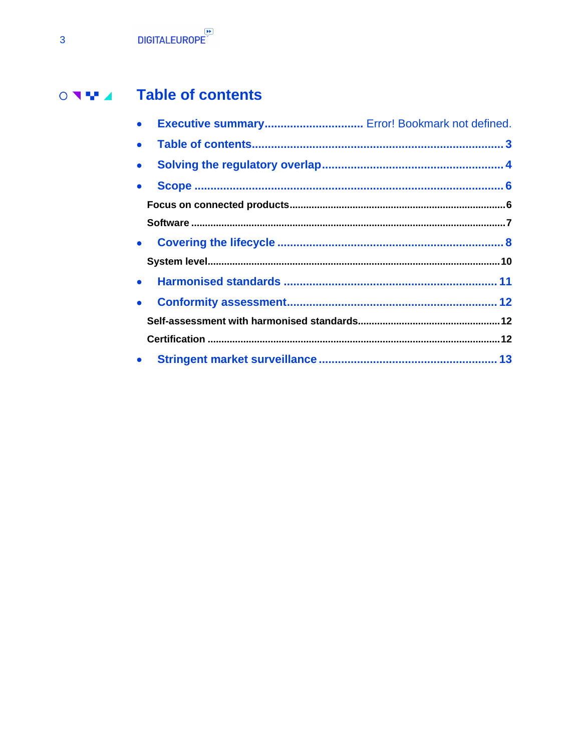#### **Table of contents**  $\begin{array}{c} \circ & \bullet & \bullet \\ \circ & \bullet & \bullet \end{array}$

<span id="page-2-0"></span>

| $\bullet$ | Executive summary Error! Bookmark not defined. |  |
|-----------|------------------------------------------------|--|
|           |                                                |  |
|           |                                                |  |
| $\bullet$ |                                                |  |
|           |                                                |  |
|           |                                                |  |
|           |                                                |  |
|           |                                                |  |
|           |                                                |  |
|           |                                                |  |
|           |                                                |  |
|           |                                                |  |
|           |                                                |  |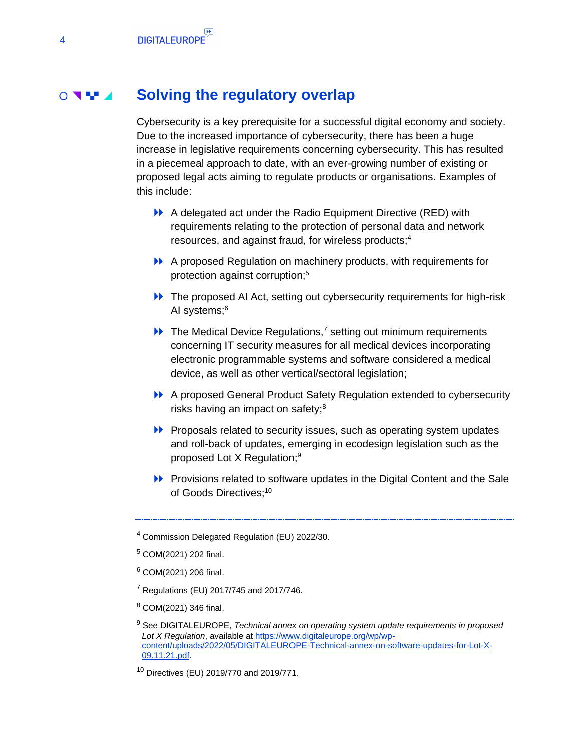#### **Solving the regulatory overlap**  $\circ$   $\cdot$   $\cdot$

<span id="page-3-0"></span>Cybersecurity is a key prerequisite for a successful digital economy and society. Due to the increased importance of cybersecurity, there has been a huge increase in legislative requirements concerning cybersecurity. This has resulted in a piecemeal approach to date, with an ever-growing number of existing or proposed legal acts aiming to regulate products or organisations. Examples of this include:

- A delegated act under the Radio Equipment Directive (RED) with requirements relating to the protection of personal data and network resources, and against fraud, for wireless products; 4
- A proposed Regulation on machinery products, with requirements for protection against corruption;<sup>5</sup>
- **EXECUTE:** The proposed AI Act, setting out cybersecurity requirements for high-risk AI systems;<sup>6</sup>
- $\blacktriangleright$  The Medical Device Regulations,<sup>7</sup> setting out minimum requirements concerning IT security measures for all medical devices incorporating electronic programmable systems and software considered a medical device, as well as other vertical/sectoral legislation;
- A proposed General Product Safety Regulation extended to cybersecurity risks having an impact on safety;<sup>8</sup>
- **Proposals related to security issues, such as operating system updates** and roll-back of updates, emerging in ecodesign legislation such as the proposed Lot X Regulation; 9
- Provisions related to software updates in the Digital Content and the Sale of Goods Directives:<sup>10</sup>

- $7$  Regulations (EU) 2017/745 and 2017/746.
- <sup>8</sup> COM(2021) 346 final.

<sup>4</sup> Commission Delegated Regulation (EU) 2022/30.

<sup>5</sup> COM(2021) 202 final.

<sup>6</sup> COM(2021) 206 final.

<sup>9</sup> See DIGITALEUROPE, *Technical annex on operating system update requirements in proposed Lot X Regulation*, available at [https://www.digitaleurope.org/wp/wp](https://www.digitaleurope.org/wp/wp-content/uploads/2022/05/DIGITALEUROPE-Technical-annex-on-software-updates-for-Lot-X-09.11.21.pdf)[content/uploads/2022/05/DIGITALEUROPE-Technical-annex-on-software-updates-for-Lot-X-](https://www.digitaleurope.org/wp/wp-content/uploads/2022/05/DIGITALEUROPE-Technical-annex-on-software-updates-for-Lot-X-09.11.21.pdf)[09.11.21.pdf.](https://www.digitaleurope.org/wp/wp-content/uploads/2022/05/DIGITALEUROPE-Technical-annex-on-software-updates-for-Lot-X-09.11.21.pdf)

<sup>10</sup> Directives (EU) 2019/770 and 2019/771.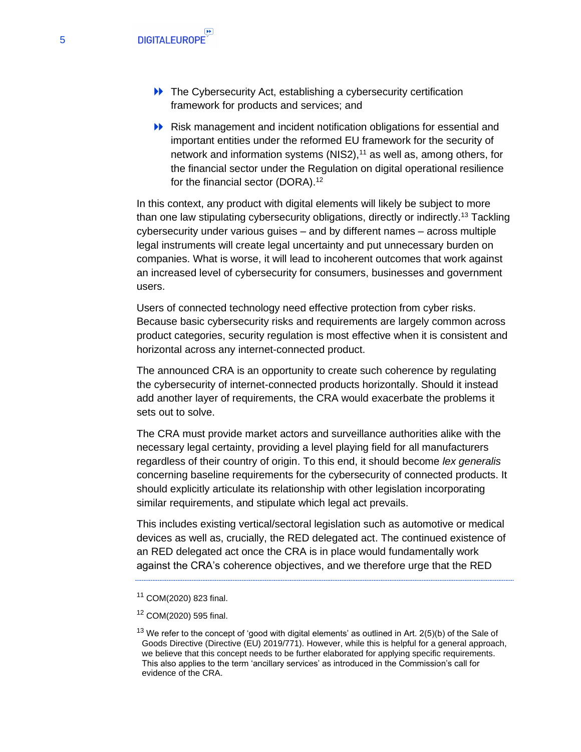- **EXECUTE:** The Cybersecurity Act, establishing a cybersecurity certification framework for products and services; and
- Risk management and incident notification obligations for essential and important entities under the reformed EU framework for the security of network and information systems (NIS2), $11$  as well as, among others, for the financial sector under the Regulation on digital operational resilience for the financial sector (DORA).<sup>12</sup>

In this context, any product with digital elements will likely be subject to more than one law stipulating cybersecurity obligations, directly or indirectly.<sup>13</sup> Tackling cybersecurity under various guises – and by different names – across multiple legal instruments will create legal uncertainty and put unnecessary burden on companies. What is worse, it will lead to incoherent outcomes that work against an increased level of cybersecurity for consumers, businesses and government users.

Users of connected technology need effective protection from cyber risks. Because basic cybersecurity risks and requirements are largely common across product categories, security regulation is most effective when it is consistent and horizontal across any internet-connected product.

The announced CRA is an opportunity to create such coherence by regulating the cybersecurity of internet-connected products horizontally. Should it instead add another layer of requirements, the CRA would exacerbate the problems it sets out to solve.

The CRA must provide market actors and surveillance authorities alike with the necessary legal certainty, providing a level playing field for all manufacturers regardless of their country of origin. To this end, it should become *lex generalis* concerning baseline requirements for the cybersecurity of connected products. It should explicitly articulate its relationship with other legislation incorporating similar requirements, and stipulate which legal act prevails.

This includes existing vertical/sectoral legislation such as automotive or medical devices as well as, crucially, the RED delegated act. The continued existence of an RED delegated act once the CRA is in place would fundamentally work against the CRA's coherence objectives, and we therefore urge that the RED

<sup>11</sup> COM(2020) 823 final.

<sup>12</sup> COM(2020) 595 final.

 $13$  We refer to the concept of 'good with digital elements' as outlined in Art. 2(5)(b) of the Sale of Goods Directive (Directive (EU) 2019/771). However, while this is helpful for a general approach, we believe that this concept needs to be further elaborated for applying specific requirements. This also applies to the term 'ancillary services' as introduced in the Commission's call for evidence of the CRA.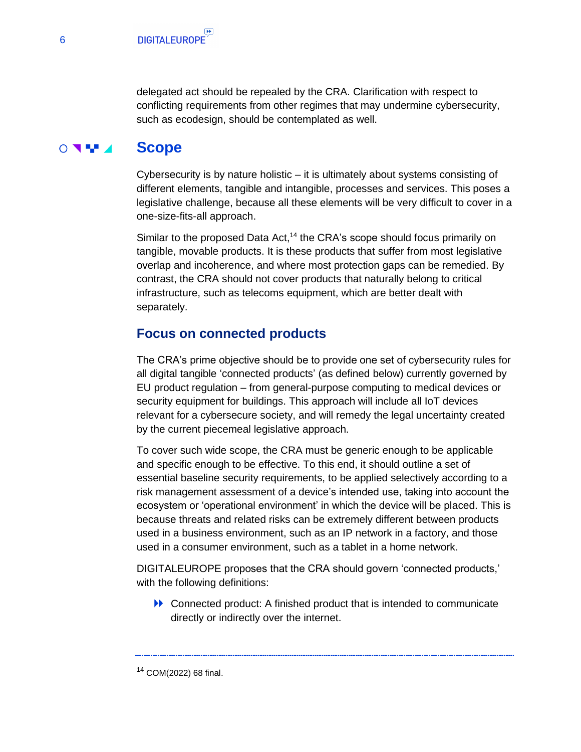delegated act should be repealed by the CRA. Clarification with respect to conflicting requirements from other regimes that may undermine cybersecurity, such as ecodesign, should be contemplated as well.

#### $\circ$ **Scope**

<span id="page-5-0"></span>Cybersecurity is by nature holistic – it is ultimately about systems consisting of different elements, tangible and intangible, processes and services. This poses a legislative challenge, because all these elements will be very difficult to cover in a one-size-fits-all approach.

Similar to the proposed Data Act,<sup>14</sup> the CRA's scope should focus primarily on tangible, movable products. It is these products that suffer from most legislative overlap and incoherence, and where most protection gaps can be remedied. By contrast, the CRA should not cover products that naturally belong to critical infrastructure, such as telecoms equipment, which are better dealt with separately.

## <span id="page-5-1"></span>**Focus on connected products**

The CRA's prime objective should be to provide one set of cybersecurity rules for all digital tangible 'connected products' (as defined below) currently governed by EU product regulation – from general-purpose computing to medical devices or security equipment for buildings. This approach will include all IoT devices relevant for a cybersecure society, and will remedy the legal uncertainty created by the current piecemeal legislative approach.

To cover such wide scope, the CRA must be generic enough to be applicable and specific enough to be effective. To this end, it should outline a set of essential baseline security requirements, to be applied selectively according to a risk management assessment of a device's intended use, taking into account the ecosystem or 'operational environment' in which the device will be placed. This is because threats and related risks can be extremely different between products used in a business environment, such as an IP network in a factory, and those used in a consumer environment, such as a tablet in a home network.

DIGITALEUROPE proposes that the CRA should govern 'connected products,' with the following definitions:

Connected product: A finished product that is intended to communicate directly or indirectly over the internet.

6

<sup>14</sup> COM(2022) 68 final.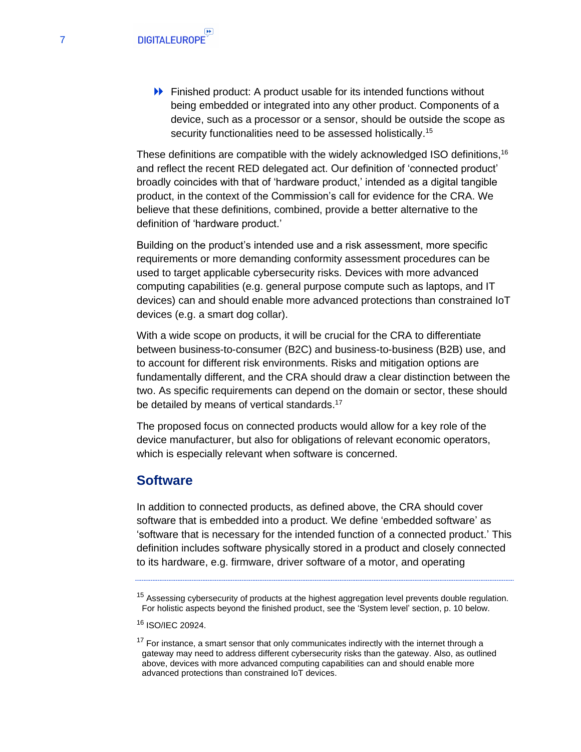Finished product: A product usable for its intended functions without being embedded or integrated into any other product. Components of a device, such as a processor or a sensor, should be outside the scope as security functionalities need to be assessed holistically.<sup>15</sup>

These definitions are compatible with the widely acknowledged ISO definitions.<sup>16</sup> and reflect the recent RED delegated act. Our definition of 'connected product' broadly coincides with that of 'hardware product,' intended as a digital tangible product, in the context of the Commission's call for evidence for the CRA. We believe that these definitions, combined, provide a better alternative to the definition of 'hardware product.'

Building on the product's intended use and a risk assessment, more specific requirements or more demanding conformity assessment procedures can be used to target applicable cybersecurity risks. Devices with more advanced computing capabilities (e.g. general purpose compute such as laptops, and IT devices) can and should enable more advanced protections than constrained IoT devices (e.g. a smart dog collar).

With a wide scope on products, it will be crucial for the CRA to differentiate between business-to-consumer (B2C) and business-to-business (B2B) use, and to account for different risk environments. Risks and mitigation options are fundamentally different, and the CRA should draw a clear distinction between the two. As specific requirements can depend on the domain or sector, these should be detailed by means of vertical standards.<sup>17</sup>

The proposed focus on connected products would allow for a key role of the device manufacturer, but also for obligations of relevant economic operators, which is especially relevant when software is concerned.

## <span id="page-6-0"></span>**Software**

In addition to connected products, as defined above, the CRA should cover software that is embedded into a product. We define 'embedded software' as 'software that is necessary for the intended function of a connected product.' This definition includes software physically stored in a product and closely connected to its hardware, e.g. firmware, driver software of a motor, and operating

 $15$  Assessing cybersecurity of products at the highest aggregation level prevents double regulation. For holistic aspects beyond the finished product, see the 'System level' section, p. 10 below.

<sup>16</sup> ISO/IEC 20924.

 $17$  For instance, a smart sensor that only communicates indirectly with the internet through a gateway may need to address different cybersecurity risks than the gateway. Also, as outlined above, devices with more advanced computing capabilities can and should enable more advanced protections than constrained IoT devices.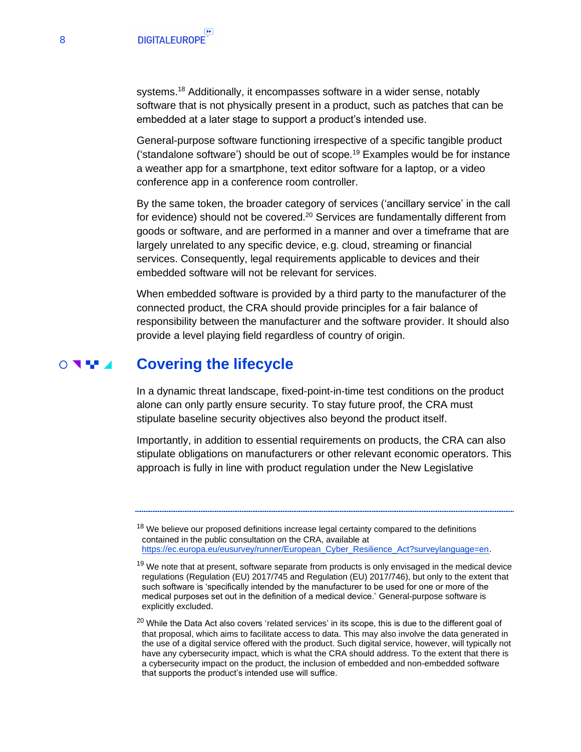systems.<sup>18</sup> Additionally, it encompasses software in a wider sense, notably software that is not physically present in a product, such as patches that can be embedded at a later stage to support a product's intended use.

General-purpose software functioning irrespective of a specific tangible product ('standalone software') should be out of scope.<sup>19</sup> Examples would be for instance a weather app for a smartphone, text editor software for a laptop, or a video conference app in a conference room controller.

By the same token, the broader category of services ('ancillary service' in the call for evidence) should not be covered.<sup>20</sup> Services are fundamentally different from goods or software, and are performed in a manner and over a timeframe that are largely unrelated to any specific device, e.g. cloud, streaming or financial services. Consequently, legal requirements applicable to devices and their embedded software will not be relevant for services.

When embedded software is provided by a third party to the manufacturer of the connected product, the CRA should provide principles for a fair balance of responsibility between the manufacturer and the software provider. It should also provide a level playing field regardless of country of origin.

#### **Covering the lifecycle**  $\circ$

<span id="page-7-0"></span>In a dynamic threat landscape, fixed-point-in-time test conditions on the product alone can only partly ensure security. To stay future proof, the CRA must stipulate baseline security objectives also beyond the product itself.

Importantly, in addition to essential requirements on products, the CRA can also stipulate obligations on manufacturers or other relevant economic operators. This approach is fully in line with product regulation under the New Legislative

 $18$  We believe our proposed definitions increase legal certainty compared to the definitions contained in the public consultation on the CRA, available at [https://ec.europa.eu/eusurvey/runner/European\\_Cyber\\_Resilience\\_Act?surveylanguage=en.](https://ec.europa.eu/eusurvey/runner/European_Cyber_Resilience_Act?surveylanguage=en)

 $19$  We note that at present, software separate from products is only envisaged in the medical device regulations (Regulation (EU) 2017/745 and Regulation (EU) 2017/746), but only to the extent that such software is 'specifically intended by the manufacturer to be used for one or more of the medical purposes set out in the definition of a medical device.' General-purpose software is explicitly excluded.

<sup>&</sup>lt;sup>20</sup> While the Data Act also covers 'related services' in its scope, this is due to the different goal of that proposal, which aims to facilitate access to data. This may also involve the data generated in the use of a digital service offered with the product. Such digital service, however, will typically not have any cybersecurity impact, which is what the CRA should address. To the extent that there is a cybersecurity impact on the product, the inclusion of embedded and non-embedded software that supports the product's intended use will suffice.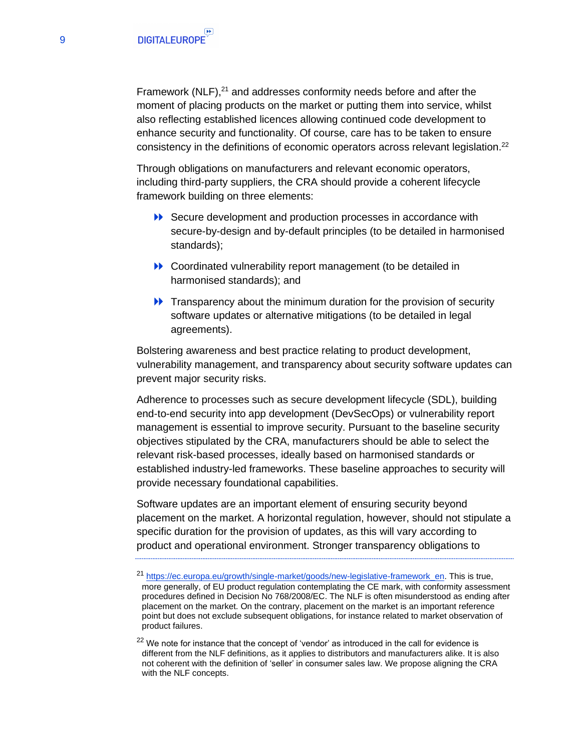Framework  $(NLF)$ ,<sup>21</sup> and addresses conformity needs before and after the moment of placing products on the market or putting them into service, whilst also reflecting established licences allowing continued code development to enhance security and functionality. Of course, care has to be taken to ensure consistency in the definitions of economic operators across relevant legislation.<sup>22</sup>

Through obligations on manufacturers and relevant economic operators, including third-party suppliers, the CRA should provide a coherent lifecycle framework building on three elements:

- ▶ Secure development and production processes in accordance with secure-by-design and by-default principles (to be detailed in harmonised standards);
- **EXECOORDINATE:** Coordinated vulnerability report management (to be detailed in harmonised standards); and
- $\rightarrow$  Transparency about the minimum duration for the provision of security software updates or alternative mitigations (to be detailed in legal agreements).

Bolstering awareness and best practice relating to product development, vulnerability management, and transparency about security software updates can prevent major security risks.

Adherence to processes such as secure development lifecycle (SDL), building end-to-end security into app development (DevSecOps) or vulnerability report management is essential to improve security. Pursuant to the baseline security objectives stipulated by the CRA, manufacturers should be able to select the relevant risk-based processes, ideally based on harmonised standards or established industry-led frameworks. These baseline approaches to security will provide necessary foundational capabilities.

Software updates are an important element of ensuring security beyond placement on the market. A horizontal regulation, however, should not stipulate a specific duration for the provision of updates, as this will vary according to product and operational environment. Stronger transparency obligations to

<sup>&</sup>lt;sup>21</sup> [https://ec.europa.eu/growth/single-market/goods/new-legislative-framework\\_en.](https://ec.europa.eu/growth/single-market/goods/new-legislative-framework_en) This is true, more generally, of EU product regulation contemplating the CE mark, with conformity assessment procedures defined in Decision No 768/2008/EC. The NLF is often misunderstood as ending after placement on the market. On the contrary, placement on the market is an important reference point but does not exclude subsequent obligations, for instance related to market observation of product failures.

 $22$  We note for instance that the concept of 'vendor' as introduced in the call for evidence is different from the NLF definitions, as it applies to distributors and manufacturers alike. It is also not coherent with the definition of 'seller' in consumer sales law. We propose aligning the CRA with the NLF concepts.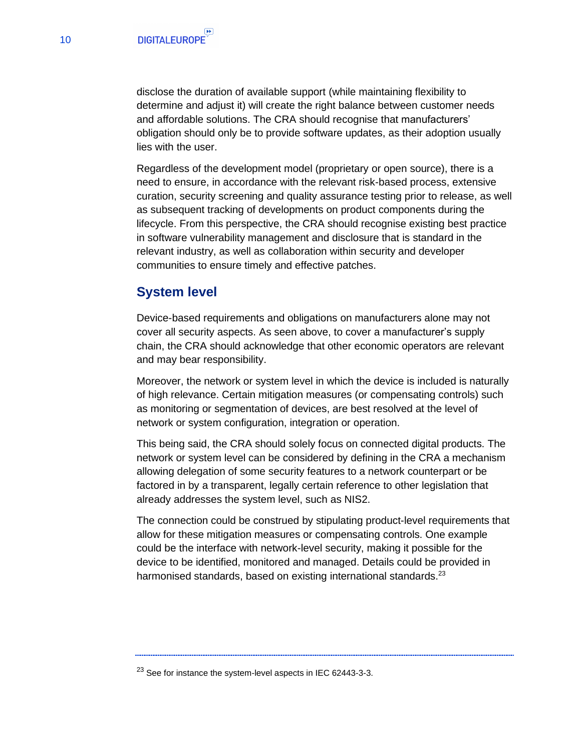disclose the duration of available support (while maintaining flexibility to determine and adjust it) will create the right balance between customer needs and affordable solutions. The CRA should recognise that manufacturers' obligation should only be to provide software updates, as their adoption usually lies with the user.

Regardless of the development model (proprietary or open source), there is a need to ensure, in accordance with the relevant risk-based process, extensive curation, security screening and quality assurance testing prior to release, as well as subsequent tracking of developments on product components during the lifecycle. From this perspective, the CRA should recognise existing best practice in software vulnerability management and disclosure that is standard in the relevant industry, as well as collaboration within security and developer communities to ensure timely and effective patches.

## <span id="page-9-0"></span>**System level**

Device-based requirements and obligations on manufacturers alone may not cover all security aspects. As seen above, to cover a manufacturer's supply chain, the CRA should acknowledge that other economic operators are relevant and may bear responsibility.

Moreover, the network or system level in which the device is included is naturally of high relevance. Certain mitigation measures (or compensating controls) such as monitoring or segmentation of devices, are best resolved at the level of network or system configuration, integration or operation.

This being said, the CRA should solely focus on connected digital products. The network or system level can be considered by defining in the CRA a mechanism allowing delegation of some security features to a network counterpart or be factored in by a transparent, legally certain reference to other legislation that already addresses the system level, such as NIS2.

The connection could be construed by stipulating product-level requirements that allow for these mitigation measures or compensating controls. One example could be the interface with network-level security, making it possible for the device to be identified, monitored and managed. Details could be provided in harmonised standards, based on existing international standards.<sup>23</sup>

<sup>&</sup>lt;sup>23</sup> See for instance the system-level aspects in IEC 62443-3-3.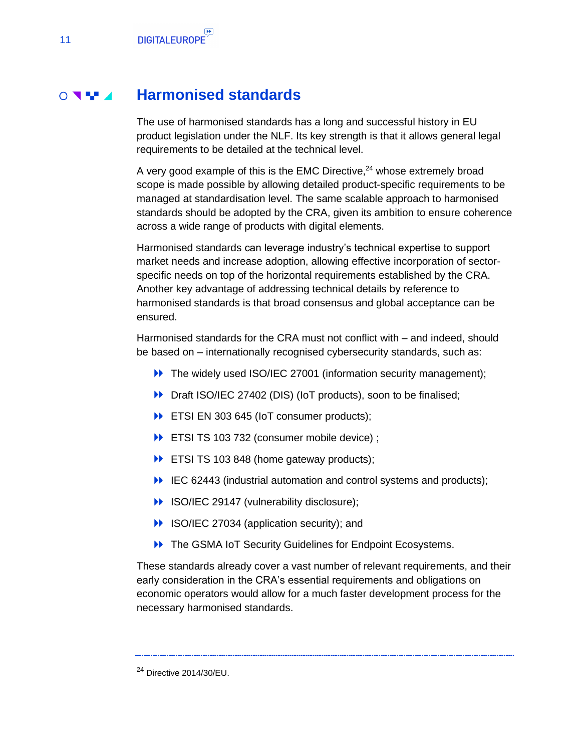#### **Harmonised standards**  $\circ$  and  $\bullet$

<span id="page-10-0"></span>The use of harmonised standards has a long and successful history in EU product legislation under the NLF. Its key strength is that it allows general legal requirements to be detailed at the technical level.

A very good example of this is the EMC Directive,<sup>24</sup> whose extremely broad scope is made possible by allowing detailed product-specific requirements to be managed at standardisation level. The same scalable approach to harmonised standards should be adopted by the CRA, given its ambition to ensure coherence across a wide range of products with digital elements.

Harmonised standards can leverage industry's technical expertise to support market needs and increase adoption, allowing effective incorporation of sectorspecific needs on top of the horizontal requirements established by the CRA. Another key advantage of addressing technical details by reference to harmonised standards is that broad consensus and global acceptance can be ensured.

Harmonised standards for the CRA must not conflict with – and indeed, should be based on – internationally recognised cybersecurity standards, such as:

- **EXECUTE:** The widely used ISO/IEC 27001 (information security management);
- Draft ISO/IEC 27402 (DIS) (IoT products), soon to be finalised;
- **ETSI EN 303 645 (IoT consumer products);**
- ETSI TS 103 732 (consumer mobile device) ;
- ETSI TS 103 848 (home gateway products);
- IEC 62443 (industrial automation and control systems and products);
- ISO/IEC 29147 (vulnerability disclosure);
- **ISO/IEC 27034 (application security); and**
- **D** The GSMA IoT Security Guidelines for Endpoint Ecosystems.

These standards already cover a vast number of relevant requirements, and their early consideration in the CRA's essential requirements and obligations on economic operators would allow for a much faster development process for the necessary harmonised standards.

<sup>24</sup> Directive 2014/30/EU.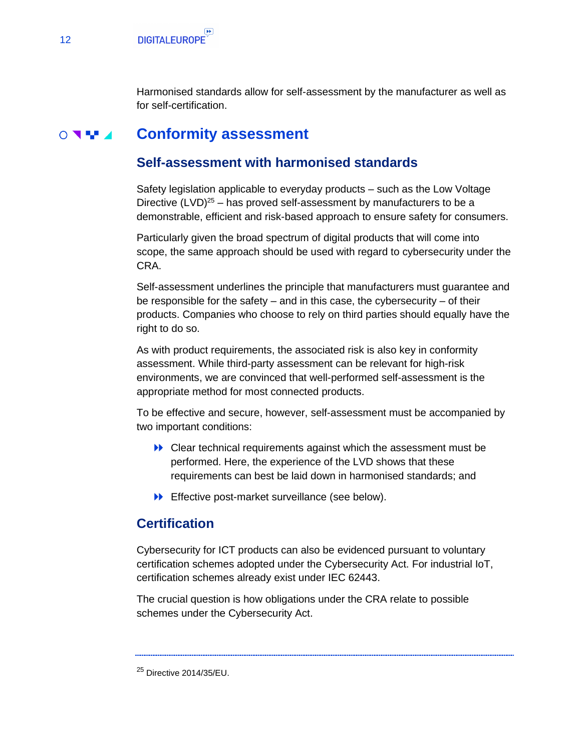<span id="page-11-0"></span>Harmonised standards allow for self-assessment by the manufacturer as well as for self-certification.

#### **Conformity assessment**  $\circ$

## <span id="page-11-1"></span>**Self-assessment with harmonised standards**

Safety legislation applicable to everyday products – such as the Low Voltage Directive  $(LVD)^{25}$  – has proved self-assessment by manufacturers to be a demonstrable, efficient and risk-based approach to ensure safety for consumers.

Particularly given the broad spectrum of digital products that will come into scope, the same approach should be used with regard to cybersecurity under the CRA.

Self-assessment underlines the principle that manufacturers must guarantee and be responsible for the safety – and in this case, the cybersecurity – of their products. Companies who choose to rely on third parties should equally have the right to do so.

As with product requirements, the associated risk is also key in conformity assessment. While third-party assessment can be relevant for high-risk environments, we are convinced that well-performed self-assessment is the appropriate method for most connected products.

To be effective and secure, however, self-assessment must be accompanied by two important conditions:

- Clear technical requirements against which the assessment must be performed. Here, the experience of the LVD shows that these requirements can best be laid down in harmonised standards; and
- **Effective post-market surveillance (see below).**

## <span id="page-11-2"></span>**Certification**

Cybersecurity for ICT products can also be evidenced pursuant to voluntary certification schemes adopted under the Cybersecurity Act. For industrial IoT, certification schemes already exist under IEC 62443.

The crucial question is how obligations under the CRA relate to possible schemes under the Cybersecurity Act.

<sup>25</sup> Directive 2014/35/EU.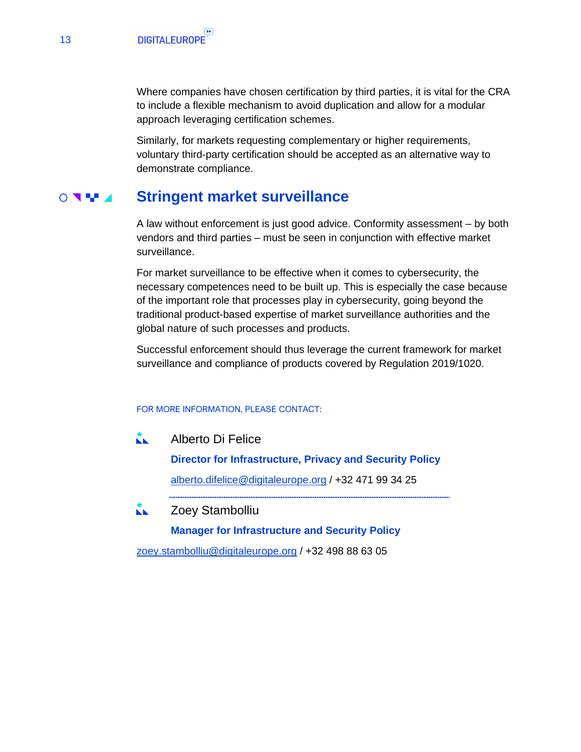Where companies have chosen certification by third parties, it is vital for the CRA to include a flexible mechanism to avoid duplication and allow for a modular approach leveraging certification schemes.

Similarly, for markets requesting complementary or higher requirements, voluntary third-party certification should be accepted as an alternative way to demonstrate compliance.

#### **Stringent market surveillance**  $\circ$

<span id="page-12-0"></span>A law without enforcement is just good advice. Conformity assessment – by both vendors and third parties – must be seen in conjunction with effective market surveillance.

For market surveillance to be effective when it comes to cybersecurity, the necessary competences need to be built up. This is especially the case because of the important role that processes play in cybersecurity, going beyond the traditional product-based expertise of market surveillance authorities and the global nature of such processes and products.

Successful enforcement should thus leverage the current framework for market surveillance and compliance of products covered by Regulation 2019/1020.

### FOR MORE INFORMATION, PLEASE CONTACT:

KK. Alberto Di Felice

> **Director for Infrastructure, Privacy and Security Policy** [alberto.difelice@digitaleurope.org](mailto:alberto.difelice@digitaleurope.org) / +32 471 99 34 25

Zoey Stambolliu КK.

**Manager for Infrastructure and Security Policy**

[zoey.stambolliu@digitaleurope.org](mailto:zoey.stambolliu@digitaleurope.org) / +32 498 88 63 05